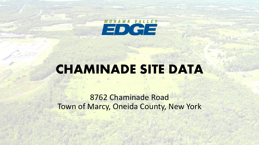

## **CHAMINADE SITE DATA**

8762 Chaminade Road Town of Marcy, Oneida County, New York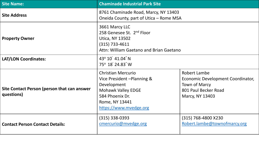| <b>Site Name:</b>                                         | <b>Chaminade Industrial Park Site</b>                                                                                                                               |                                                                                                               |  |
|-----------------------------------------------------------|---------------------------------------------------------------------------------------------------------------------------------------------------------------------|---------------------------------------------------------------------------------------------------------------|--|
| <b>Site Address</b>                                       | 8761 Chaminade Road, Marcy, NY 13403<br>Oneida County, part of Utica - Rome MSA                                                                                     |                                                                                                               |  |
| <b>Property Owner</b>                                     | 3661 Marcy LLC<br>258 Genesee St. 2nd Floor<br>Utica, NY 13502<br>(315) 733-4611<br>Attn: William Gaetano and Brian Gaetano                                         |                                                                                                               |  |
| <b>LAT/LON Coordinates:</b>                               | 43° 10' 41.04" N<br>75° 18′ 24.83″ W                                                                                                                                |                                                                                                               |  |
| Site Contact Person (person that can answer<br>questions) | <b>Christian Mercurio</b><br>Vice President - Planning &<br>Development<br><b>Mohawk Valley EDGE</b><br>584 Phoenix Dr.<br>Rome, NY 13441<br>https://www.mvedge.org | Robert Lambe<br>Economic Development Coordinator,<br>Town of Marcy<br>801 Paul Becker Road<br>Marcy, NY 13403 |  |
| <b>Contact Person Contact Details:</b>                    | (315) 338-0393<br>cmercurio@mvedge.org                                                                                                                              | (315) 768-4800 X230<br>Robert.lambe@townofmarcy.org                                                           |  |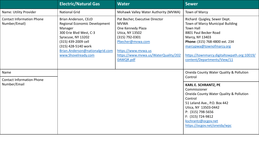|                                                   | <b>Electric/Natural Gas</b>                                                                                                                                                                                                      | <b>Water</b>                                                                                                                                                                                            | Sewer                                                                                                                                                                                                                                                                               |
|---------------------------------------------------|----------------------------------------------------------------------------------------------------------------------------------------------------------------------------------------------------------------------------------|---------------------------------------------------------------------------------------------------------------------------------------------------------------------------------------------------------|-------------------------------------------------------------------------------------------------------------------------------------------------------------------------------------------------------------------------------------------------------------------------------------|
| Name: Utility Provider                            | <b>National Grid</b>                                                                                                                                                                                                             | Mohawk Valley Water Authority (MVWA)                                                                                                                                                                    | Town of Marcy                                                                                                                                                                                                                                                                       |
| <b>Contact Information Phone</b><br>Number/Email) | Brian Anderson, CEcD<br><b>Regional Economic Development</b><br>Manager<br>300 Erie Blvd West, C-3<br>Syracuse, NY 13202<br>(315) 439-2009 cell<br>(315) 428-5140 work<br>Brian.Anderson@nationalgrid.com<br>www.Shovelready.com | Pat Becher, Executive Director<br><b>MVWA</b><br>One Kennedy Plaza<br>Utica, NY 13502<br>(315) 792-0301<br>Pbecher@mvwa.com<br>https://www.mvwa.us<br>https://www.mvwa.us/WaterQuality/202<br>0AWQR.pdf | Richard Quigley, Sewer Dept.<br><b>Town of Marcy Municipal Building</b><br><b>Town Hall</b><br>8801 Paul Becker Road<br>Marcy, NY 13403<br>Phone: (315) 768-4800 ext. 234<br>marcypwa@townofmarcy.org<br>https://townmarcy.digitaltowpath.org:10019/<br>content/Departments/View/11 |
| Name                                              |                                                                                                                                                                                                                                  |                                                                                                                                                                                                         | Oneida County Water Quality & Pollution<br>Control                                                                                                                                                                                                                                  |
| <b>Contact Information Phone</b><br>Number/Email  |                                                                                                                                                                                                                                  |                                                                                                                                                                                                         | <b>KARL E. SCHRANTZ, PE</b><br>Commissioner<br>Oneida County Water Quality & Pollution<br>Control<br>51 Leland Ave., P.O. Box 442<br>Utica, NY 13503-0442<br>P: (315) 798-5656<br>F: (315) 724-9812<br>kschrantz@ocgov.net<br>https://ocgov.net/oneida/wpc                          |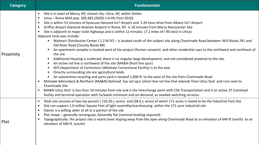| <b>Category</b> | <b>Fundamentals</b>                                                                                                                                                                                                                                                                                                                                                                                                                                                                                                                                                                                                                                                                                                                                                                                                                                                                                                                                                                                                                                                                                                                                                                                                                                                                                                                                                                                                                                                                                                                                                                                                                                                                                                                  |  |  |
|-----------------|--------------------------------------------------------------------------------------------------------------------------------------------------------------------------------------------------------------------------------------------------------------------------------------------------------------------------------------------------------------------------------------------------------------------------------------------------------------------------------------------------------------------------------------------------------------------------------------------------------------------------------------------------------------------------------------------------------------------------------------------------------------------------------------------------------------------------------------------------------------------------------------------------------------------------------------------------------------------------------------------------------------------------------------------------------------------------------------------------------------------------------------------------------------------------------------------------------------------------------------------------------------------------------------------------------------------------------------------------------------------------------------------------------------------------------------------------------------------------------------------------------------------------------------------------------------------------------------------------------------------------------------------------------------------------------------------------------------------------------------|--|--|
| Proximity       | Site is in town of Marcy, NY; closest city: Utica, NY, within 5 miles<br>$\bullet$<br>Utica – Rome MSA pop. 309,383 (2020) (+3.4% from 2010)<br>Site is within 53 minutes of Syracuse Hancock Int'l Airport and 1:26 hour drive from Albany Int'l Airport.<br>$\bullet$<br>Griffiss Airport (General Aviation Airport) in Rome, NY is 18 minutes from Marcy Nanocenter Site<br>Site is adjacent to major state highways and is within 12 minutes (7.2 miles of I-90 exist in Utica)<br>$\bullet$<br>Adjacent land uses include:<br>• Walmart Distribution Center (1.2 M SF) – is located south of the subject site along Chaminade Road between NYS Route 291 and<br>Old River Road (County Route 88)<br>An apartment complex is located west of the project (former convent) and other residential uses to the northwest and northeast of<br>the site<br>Additional Housing is scattered, there is no singular large development, and not considered proximal to the site.<br>$\bullet$<br>An active rail line is northwest of the site (MA&N Short line spur)<br>NYS Department of Corrections (Midstate Correctional Facility) is to the east<br>Directly surrounding site are agricultural lands<br>An automotive recycling and parts yard is located 1,000 ft. to the west of the site from Chaminade Road<br>Mohawk Adirondack & Northern (MA&N) Railroad has rail spur (short-line rail line that extends from Utica Yard and runs next to<br><b>Chaminade Site</b><br>MA&N Utica Yard is less than 10 minutes from site and is the interchange point with CSX Transportation and is an active 3T transload<br>$\bullet$<br>facility and terminal operation with 5x/week minimum and on-demand, as needed switching services. |  |  |
| Plot            | Total site consists of two-tax parcels (216.20 + acres) and (38.0 + acres) of which 171-acres is slated to be the Industrial Park Site<br>$\bullet$<br>Site can support 1.0 million Square Feet of light assembly/warehousing within the 171-acre industrial site<br>$\bullet$<br>Owner is a willing seller of all or a portion of the site<br>$\bullet$<br>Plot shape – generally rectangular, Generally flat (nominal leveling required)<br>$\bullet$<br>Topographically the project site is nearly level sloping away from the apex along Chaminade Road at an elevation of 640-ft (north) to an<br>elevation of 560-ft. (south)                                                                                                                                                                                                                                                                                                                                                                                                                                                                                                                                                                                                                                                                                                                                                                                                                                                                                                                                                                                                                                                                                                  |  |  |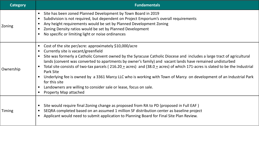| <b>Category</b> | <b>Fundamentals</b>                                                                                                                                                                                                                                                                                                                                                                                                                                                                                                                                                                                                                                                                                                                                              |
|-----------------|------------------------------------------------------------------------------------------------------------------------------------------------------------------------------------------------------------------------------------------------------------------------------------------------------------------------------------------------------------------------------------------------------------------------------------------------------------------------------------------------------------------------------------------------------------------------------------------------------------------------------------------------------------------------------------------------------------------------------------------------------------------|
| Zoning          | Site has been zoned Planned Development by Town Board in 2019<br>$\bullet$<br>Subdivision is not required, but dependent on Project Emporium's overall requirements<br>$\bullet$<br>Any height requirements would be set by Planned Development Zoning<br>Zoning Density ratios would be set by Planned Development<br>No specific or limiting light or noise ordinances                                                                                                                                                                                                                                                                                                                                                                                         |
| Ownership       | Cost of the site per/acre: approximately \$10,000/acre<br>$\bullet$<br>Currently site is vacant/greenfield<br>$\bullet$<br>Site was formerly a Catholic Convent owned by the Syracuse Catholic Diocese and includes a large tract of agricultural<br>lands (convent was converted to apartments by owner's family) and vacant lands have remained undisturbed<br>Total site consists of two-tax parcels ( $216.20 + \text{acres}$ ) and (38.0 + acres) of which 171-acres is slated to be the Industrial<br>Park Site<br>Underlying fee is owned by a 3361 Marcy LLC who is working with Town of Marcy on development of an Industrial Park<br>for this site<br>Landowners are willing to consider sale or lease, focus on sale.<br><b>Property Map attached</b> |
| Timing          | Site would require final Zoning change as proposed from RA to PD (proposed in Full EAF)<br>$\bullet$<br>SEQRA completed based on an assumed 1 million SF distribution center as baseline project<br>Applicant would need to submit application to Planning Board for Final Site Plan Review.                                                                                                                                                                                                                                                                                                                                                                                                                                                                     |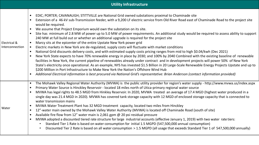## **Utility Infrastructure**

| Electrical &<br>Interconnection | EDIC; PORTER; CAVANAUGH; STITTVILLE are National Grid owned substations proximal to Chaminade site<br>$\bullet$<br>Extension of a 46-kV sub-Transmission feeder, with a 9,200 LF electric service from Old River Road east of Chaminade Road to the project site<br>$\bullet$<br>would be required.<br>We assume that Project Emporium would own the substation on its site.<br>$\bullet$<br>Site has minimum of 2.8 MW of power up to 5.0 MW of power requirements. An additional study would be required to assess ability to support<br>$\bullet$<br>240 MW at full build out or whether an additional upgrade is required for the project site<br>Marcy sits at the epicenter of the entire Upstate New York power grid<br>$\bullet$<br>Electric markets in New York are de-regulated, supply costs will fluctuate with market conditions<br>$\bullet$<br>National Grid discounts delivery costs, and with estimated supply costs pricing ranges from mid to high \$0.04/kwh (Dec 2021)<br>$\bullet$<br>New York State expects to have 70% renewable energy in place by 2030; and 100% by 2040 Combined with the existing baseline of renewable<br>$\bullet$<br>facilities in New York, the current pipeline of renewables already under contract and in development projects will power 50% of New York<br>State's electricity once operational. As an example, NYS has invested \$1.5 Billion in 20 Large-Scale Renewable Energy Projects Upstate and up to<br>\$200 Million in Port Infrastructure to Make New York the Nation's Offshore Wind Hub<br>Additional Electrical information is best procured via National Grid's representative: Brian Anderson (contact information provided)<br>$\bullet$ |
|---------------------------------|----------------------------------------------------------------------------------------------------------------------------------------------------------------------------------------------------------------------------------------------------------------------------------------------------------------------------------------------------------------------------------------------------------------------------------------------------------------------------------------------------------------------------------------------------------------------------------------------------------------------------------------------------------------------------------------------------------------------------------------------------------------------------------------------------------------------------------------------------------------------------------------------------------------------------------------------------------------------------------------------------------------------------------------------------------------------------------------------------------------------------------------------------------------------------------------------------------------------------------------------------------------------------------------------------------------------------------------------------------------------------------------------------------------------------------------------------------------------------------------------------------------------------------------------------------------------------------------------------------------------------------------------------------------------------------------------------------------|
| Water                           | The Mohawk Valley Regional Water Authority (MVWA) is the public utility provider for region's water supply - http://www.mvwa.us/index.aspx<br>$\bullet$<br>Primary Water Source is Hinckley Reservoir - located 18 miles north of Utica-primary regional water source<br>$\bullet$<br>MVWA has legal rights to 48.5 MGD from Hinkley Reservoir. In 2020, MVWA treated an average of 17.4 MGD (highest water produced in a<br>$\bullet$<br>single day was 21.4 MGD in 2020). MVWA has covered tank storage capacity with 12 MGD of enclosed storage capacity that is connected to<br>water transmission mains<br>MVWA Water Treatment Plant has 32 MGD treatment capacity, located two miles from Hinckley<br>$\bullet$<br>12"-water main owned by the Mohawk Valley Water Authority (MVWA) is located off Chaminade Road (south of site)<br>$\bullet$<br>Available fire flow from 12" water main is 2,061 gpm @ 20 psi residual pressure<br>$\bullet$<br>MVWA adopted a discounted tiered rate structure for large industrial accounts (effective January 1, 2019) with two water rate tiers:<br>$\bullet$<br>Standard Tier 1 Rate is based on water consumption for initial 1.5 MGPD (547,500,000 annual consumption)<br>Discounted Tier 2 Rate is based on all water consumption > 1.5 MGPD (all usage that exceeds Standard Tier 1 of 547,500,000 annually)<br>$\bullet$                                                                                                                                                                                                                                                                                                                                    |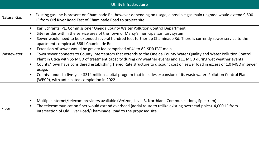|                    | <b>Utility Infrastructure</b>                                                                                                                                                                                                                                                                                                                                                                                                                                                                                                                                                                                                                                                                                                                                                                                                                                                                                                                                                                                                                                                  |
|--------------------|--------------------------------------------------------------------------------------------------------------------------------------------------------------------------------------------------------------------------------------------------------------------------------------------------------------------------------------------------------------------------------------------------------------------------------------------------------------------------------------------------------------------------------------------------------------------------------------------------------------------------------------------------------------------------------------------------------------------------------------------------------------------------------------------------------------------------------------------------------------------------------------------------------------------------------------------------------------------------------------------------------------------------------------------------------------------------------|
| <b>Natural Gas</b> | Existing gas line is present on Chaminade Rd, however depending on usage, a possible gas main upgrade would extend 9,500<br>$\bullet$<br>LF from Old River Road East of Chaminade Road to project site                                                                                                                                                                                                                                                                                                                                                                                                                                                                                                                                                                                                                                                                                                                                                                                                                                                                         |
| Wastewater         | Karl Schrantz, PE, Commissioner Oneida County Walter Pollution Control Department,<br>$\bullet$<br>Site resides within the service area of the Town of Marcy's municipal sanitary system<br>$\bullet$<br>Sewer would need to be extended several hundred feet further up Chaminade Rd. There is currently sewer service to the<br>$\bullet$<br>apartment complex at 8661 Chaminade Rd.<br>Extension of sewer would be gravity fed comprised of 4" to 8" SDR PVC main<br>$\bullet$<br>Town sewer connects to County Interceptors that extends to the Oneida County Water Quality and Water Pollution Control<br>$\bullet$<br>Plant in Utica with 55 MGD of treatment capacity during dry weather events and 111 MGD during wet weather events<br>County/Town have considered establishing Tiered Rate structure to discount cost on sewer load in excess of 1.0 MGD in sewer<br>$\bullet$<br>usage.<br>County funded a five-year \$314 million capital program that includes expansion of its wastewater Pollution Control Plant<br>(WPCP), with anticipated completion in 2022 |
| Fiber              | Multiple internet/telecom providers available (Verizon, Level 3, Northland Communications, Spectrum)<br>- 0<br>The telecommunication fiber would extend overhead (aerial route to utilize existing overhead poles) 4,000 LF from<br>- 0<br>intersection of Old River Road/Chaminade Road to the proposed site.                                                                                                                                                                                                                                                                                                                                                                                                                                                                                                                                                                                                                                                                                                                                                                 |

-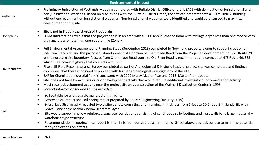| <b>Environmental Impact</b> |                                                                                                                                                                                                                                                                                                                                                                                                                                                                                                                                                                                                                                                                                                                                                                                                                                                                                                                                                                                                                                                                                                                                        |  |  |
|-----------------------------|----------------------------------------------------------------------------------------------------------------------------------------------------------------------------------------------------------------------------------------------------------------------------------------------------------------------------------------------------------------------------------------------------------------------------------------------------------------------------------------------------------------------------------------------------------------------------------------------------------------------------------------------------------------------------------------------------------------------------------------------------------------------------------------------------------------------------------------------------------------------------------------------------------------------------------------------------------------------------------------------------------------------------------------------------------------------------------------------------------------------------------------|--|--|
| Wetlands                    | Preliminary Jurisdiction of Wetlands Mapping completed with Buffalo District Office of the USACE with delineation of jurisdictional and<br>non-jurisdictional wetlands. Based on discussions with the Buffalo District Office, the site can accommodate a 1.0 million SF building<br>without encroachment on jurisdictional wetlands. Non-jurisdictional wetlands were identified and could be disturbed to maximize<br>development of the site                                                                                                                                                                                                                                                                                                                                                                                                                                                                                                                                                                                                                                                                                        |  |  |
| Floodplains                 | Site is not in Flood Hazard Area of Floodplain<br>FEMA information reveals that the project site is in an area with a 0.1% annual chance flood with average depth less than one foot or with<br>$\bullet$<br>drainage areas of less than one-square mile (Zone X)                                                                                                                                                                                                                                                                                                                                                                                                                                                                                                                                                                                                                                                                                                                                                                                                                                                                      |  |  |
| Environmental               | Full Environmental Assessment and Planning Study (September 2019) completed by Town and property owner to support creation of<br>Industrial Park site and the proposed abandonment of a portion of Chaminade Road from the Proposed development to NYS Route 291<br>at the northern site boundary (access from Chaminade Road south to Old River Road is recommended to connect to NYS Route 49/365<br>which is east/west highway that connects with I-90<br>Phase 1B Field Reconnaissance Survey completed as part of Archeological & Historic Study of project site was completed and findings<br>concluded that there is no need to proceed with further archeological investigations of the site.<br>EAF for Chaminade Industrial Park is consistent with 2009 Marcy Master Plan and 2016 Master Plan Update<br>Site does not have known uses or prior development activity that would require additional investigations or remediation activity<br>Most recent development activity near the project site was construction of the Walmart Distribution Center in 1995.<br>Contact information for Bob Lambe provided<br>$\bullet$ |  |  |
| Soil                        | Soil suitable for a large-scale manufacturing facility<br>$\bullet$<br>Geotechnical report and soil boring report prepared by Chazen Engineering (January 2019)<br>$\bullet$<br>Subsurface Stratigraphy revealed two distinct strata consisting of till ranging in thickness from 6-feet to 10.5-feet (Silt, Sandy Silt with<br>$\bullet$<br>Gravel); and shale bedrock below silt strata layer<br>Site would support shallow reinforced concrete foundations consisting of continuous strip footings and frost walls for a large industrial -<br>warehouse type structure<br>Recommendation in geotechnical report is that finished floor slab be a minimum of 5-feet above bedrock surface to minimize potential<br>for pyritic expansion effects.                                                                                                                                                                                                                                                                                                                                                                                   |  |  |
| Encumbrances                | N/A<br>$\bullet$                                                                                                                                                                                                                                                                                                                                                                                                                                                                                                                                                                                                                                                                                                                                                                                                                                                                                                                                                                                                                                                                                                                       |  |  |